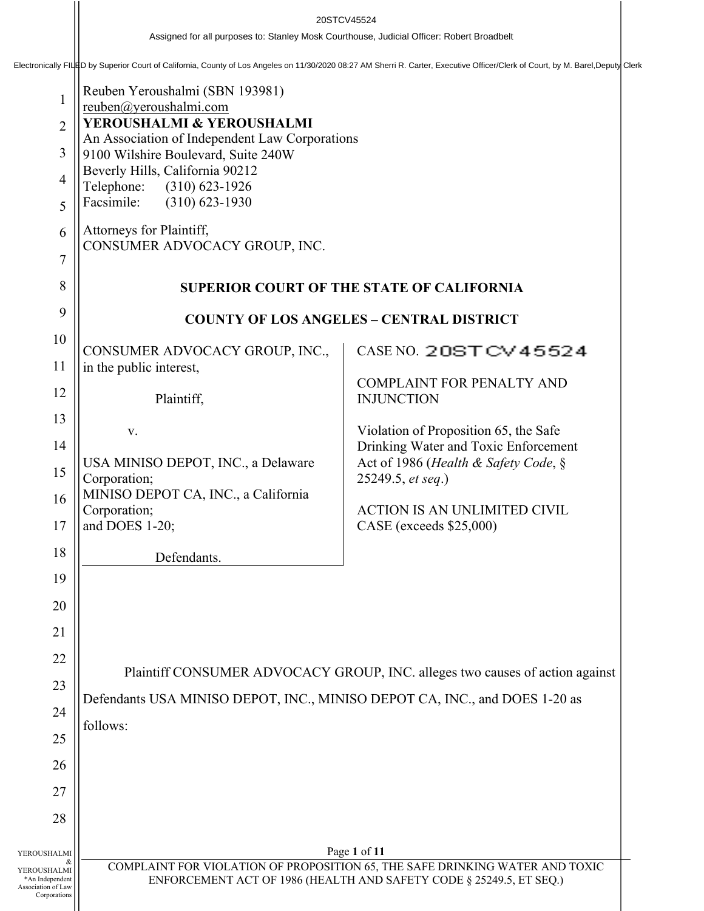20STCV45524<br>Assigned for all purposes to: Stanley Mosk Courthouse, Judicial Officer: Robert Broadbelt<br>Electronically FILED by Superior Court of California, County of Los Angeles on 11/30/2020 08:27 AM Sherri R. Carter, Exe

| 1<br>$\overline{2}$<br>3<br>$\overline{4}$<br>5<br>6<br>$\overline{7}$<br>8         | Reuben Yeroushalmi (SBN 193981)<br>reuben@yeroushalmi.com<br>YEROUSHALMI & YEROUSHALMI<br>An Association of Independent Law Corporations<br>9100 Wilshire Boulevard, Suite 240W<br>Beverly Hills, California 90212<br>Telephone:<br>$(310)$ 623-1926<br>Facsimile:<br>$(310) 623 - 1930$<br>Attorneys for Plaintiff,<br>CONSUMER ADVOCACY GROUP, INC.<br><b>SUPERIOR COURT OF THE STATE OF CALIFORNIA</b> |                                                                               |  |  |  |
|-------------------------------------------------------------------------------------|-----------------------------------------------------------------------------------------------------------------------------------------------------------------------------------------------------------------------------------------------------------------------------------------------------------------------------------------------------------------------------------------------------------|-------------------------------------------------------------------------------|--|--|--|
| 9                                                                                   | <b>COUNTY OF LOS ANGELES - CENTRAL DISTRICT</b>                                                                                                                                                                                                                                                                                                                                                           |                                                                               |  |  |  |
| 10                                                                                  | CONSUMER ADVOCACY GROUP, INC.,                                                                                                                                                                                                                                                                                                                                                                            | CASE NO. 20STCV45524                                                          |  |  |  |
| 11<br>12                                                                            | in the public interest,                                                                                                                                                                                                                                                                                                                                                                                   | <b>COMPLAINT FOR PENALTY AND</b>                                              |  |  |  |
| 13                                                                                  | Plaintiff,                                                                                                                                                                                                                                                                                                                                                                                                | <b>INJUNCTION</b>                                                             |  |  |  |
| 14                                                                                  | V.                                                                                                                                                                                                                                                                                                                                                                                                        | Violation of Proposition 65, the Safe<br>Drinking Water and Toxic Enforcement |  |  |  |
| 15                                                                                  | USA MINISO DEPOT, INC., a Delaware<br>Corporation;<br>MINISO DEPOT CA, INC., a California                                                                                                                                                                                                                                                                                                                 | Act of 1986 (Health & Safety Code, §<br>25249.5, et seq.)                     |  |  |  |
| 16<br>17                                                                            | Corporation;<br>and DOES 1-20;                                                                                                                                                                                                                                                                                                                                                                            | <b>ACTION IS AN UNLIMITED CIVIL</b><br>CASE (exceeds \$25,000)                |  |  |  |
| 18                                                                                  | Defendants.                                                                                                                                                                                                                                                                                                                                                                                               |                                                                               |  |  |  |
| 19                                                                                  |                                                                                                                                                                                                                                                                                                                                                                                                           |                                                                               |  |  |  |
| 20                                                                                  |                                                                                                                                                                                                                                                                                                                                                                                                           |                                                                               |  |  |  |
| 21                                                                                  |                                                                                                                                                                                                                                                                                                                                                                                                           |                                                                               |  |  |  |
| 22                                                                                  |                                                                                                                                                                                                                                                                                                                                                                                                           |                                                                               |  |  |  |
| 23                                                                                  | Plaintiff CONSUMER ADVOCACY GROUP, INC. alleges two causes of action against<br>Defendants USA MINISO DEPOT, INC., MINISO DEPOT CA, INC., and DOES 1-20 as<br>follows:                                                                                                                                                                                                                                    |                                                                               |  |  |  |
| 24                                                                                  |                                                                                                                                                                                                                                                                                                                                                                                                           |                                                                               |  |  |  |
| 25                                                                                  |                                                                                                                                                                                                                                                                                                                                                                                                           |                                                                               |  |  |  |
| 26                                                                                  |                                                                                                                                                                                                                                                                                                                                                                                                           |                                                                               |  |  |  |
| 27                                                                                  |                                                                                                                                                                                                                                                                                                                                                                                                           |                                                                               |  |  |  |
| 28                                                                                  |                                                                                                                                                                                                                                                                                                                                                                                                           |                                                                               |  |  |  |
|                                                                                     |                                                                                                                                                                                                                                                                                                                                                                                                           | Page 1 of 11                                                                  |  |  |  |
| YEROUSHALMI<br>YEROUSHALMI<br>*An Independent<br>Association of Law<br>Corporations | COMPLAINT FOR VIOLATION OF PROPOSITION 65, THE SAFE DRINKING WATER AND TOXIC<br>ENFORCEMENT ACT OF 1986 (HEALTH AND SAFETY CODE § 25249.5, ET SEQ.)                                                                                                                                                                                                                                                       |                                                                               |  |  |  |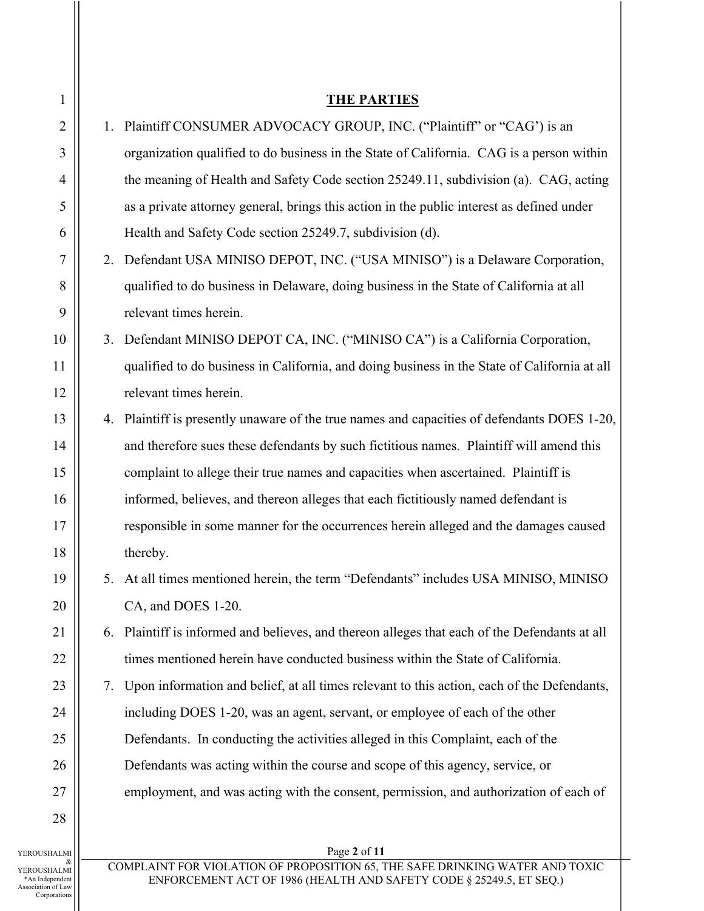| $\mathbf{1}$   |    | <b>THE PARTIES</b>                                                                           |
|----------------|----|----------------------------------------------------------------------------------------------|
| $\overline{2}$ |    | 1. Plaintiff CONSUMER ADVOCACY GROUP, INC. ("Plaintiff" or "CAG") is an                      |
| 3              |    | organization qualified to do business in the State of California. CAG is a person within     |
| $\overline{4}$ |    | the meaning of Health and Safety Code section 25249.11, subdivision (a). CAG, acting         |
| 5              |    | as a private attorney general, brings this action in the public interest as defined under    |
| 6              |    | Health and Safety Code section 25249.7, subdivision (d).                                     |
| $\overline{7}$ |    | 2. Defendant USA MINISO DEPOT, INC. ("USA MINISO") is a Delaware Corporation,                |
| 8              |    | qualified to do business in Delaware, doing business in the State of California at all       |
| 9              |    | relevant times herein.                                                                       |
| 10             |    | 3. Defendant MINISO DEPOT CA, INC. ("MINISO CA") is a California Corporation,                |
| 11             |    | qualified to do business in California, and doing business in the State of California at all |
| 12             |    | relevant times herein.                                                                       |
| 13             |    | 4. Plaintiff is presently unaware of the true names and capacities of defendants DOES 1-20,  |
| 14             |    | and therefore sues these defendants by such fictitious names. Plaintiff will amend this      |
| 15             |    | complaint to allege their true names and capacities when ascertained. Plaintiff is           |
| 16             |    | informed, believes, and thereon alleges that each fictitiously named defendant is            |
| 17             |    | responsible in some manner for the occurrences herein alleged and the damages caused         |
| 18             |    | thereby.                                                                                     |
| 19             |    | 5. At all times mentioned herein, the term "Defendants" includes USA MINISO, MINISO          |
| 20             |    | CA, and DOES 1-20.                                                                           |
| 21             | 6. | Plaintiff is informed and believes, and thereon alleges that each of the Defendants at all   |
| 22             |    | times mentioned herein have conducted business within the State of California.               |
| 23             | 7. | Upon information and belief, at all times relevant to this action, each of the Defendants,   |
| 24             |    | including DOES 1-20, was an agent, servant, or employee of each of the other                 |
| 25             |    | Defendants. In conducting the activities alleged in this Complaint, each of the              |
| 26             |    | Defendants was acting within the course and scope of this agency, service, or                |
| 27             |    | employment, and was acting with the consent, permission, and authorization of each of        |
| 28             |    |                                                                                              |
| HALMI          |    | Page 2 of 11                                                                                 |
| <b>IM.IAF</b>  |    | COMPLAINT FOR VIOLATION OF PROPOSITION 65, THE SAFE DRINKING WATER AND TOXIC                 |

\*An Independent Association of Law Corporations

ENFORCEMENT ACT OF 1986 (HEALTH AND SAFETY CODE § 25249.5, ET SEQ.)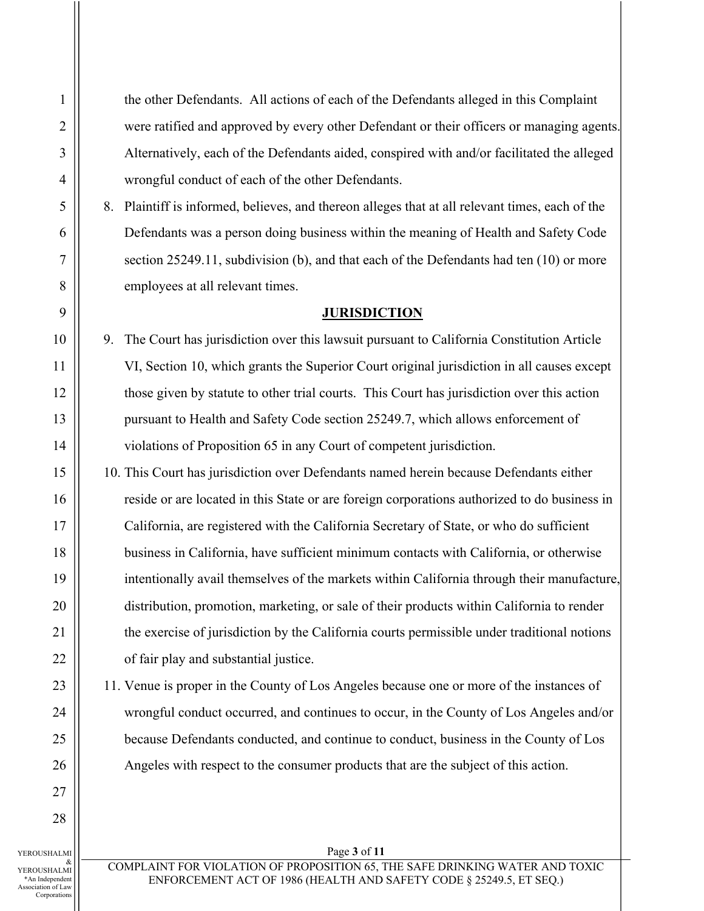the other Defendants. All actions of each of the Defendants alleged in this Complaint were ratified and approved by every other Defendant or their officers or managing agents. Alternatively, each of the Defendants aided, conspired with and/or facilitated the alleged wrongful conduct of each of the other Defendants.

8. Plaintiff is informed, believes, and thereon alleges that at all relevant times, each of the Defendants was a person doing business within the meaning of Health and Safety Code section 25249.11, subdivision (b), and that each of the Defendants had ten (10) or more employees at all relevant times.

# **JURISDICTION**

9. The Court has jurisdiction over this lawsuit pursuant to California Constitution Article VI, Section 10, which grants the Superior Court original jurisdiction in all causes except those given by statute to other trial courts. This Court has jurisdiction over this action pursuant to Health and Safety Code section 25249.7, which allows enforcement of violations of Proposition 65 in any Court of competent jurisdiction.

10. This Court has jurisdiction over Defendants named herein because Defendants either reside or are located in this State or are foreign corporations authorized to do business in California, are registered with the California Secretary of State, or who do sufficient business in California, have sufficient minimum contacts with California, or otherwise intentionally avail themselves of the markets within California through their manufacture, distribution, promotion, marketing, or sale of their products within California to render the exercise of jurisdiction by the California courts permissible under traditional notions of fair play and substantial justice.

11. Venue is proper in the County of Los Angeles because one or more of the instances of wrongful conduct occurred, and continues to occur, in the County of Los Angeles and/or because Defendants conducted, and continue to conduct, business in the County of Los Angeles with respect to the consumer products that are the subject of this action.

YEROUSHALMI & YEROUSHALMI \*An Independent Association of Law Corporations

1

2

3

4

5

6

7

8

9

10

11

12

13

14

15

16

17

18

19

20

21

22

23

24

25

26

27

28

Page **3** of **11**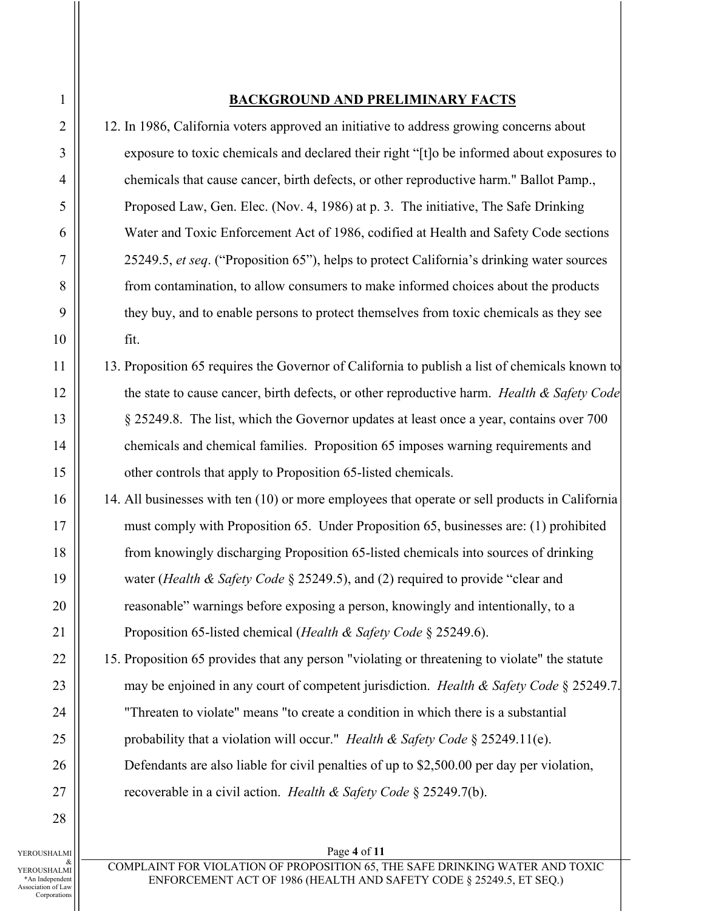# **BACKGROUND AND PRELIMINARY FACTS**

12. In 1986, California voters approved an initiative to address growing concerns about exposure to toxic chemicals and declared their right "[t]o be informed about exposures to chemicals that cause cancer, birth defects, or other reproductive harm." Ballot Pamp., Proposed Law, Gen. Elec. (Nov. 4, 1986) at p. 3. The initiative, The Safe Drinking Water and Toxic Enforcement Act of 1986, codified at Health and Safety Code sections 25249.5, *et seq*. ("Proposition 65"), helps to protect California's drinking water sources from contamination, to allow consumers to make informed choices about the products they buy, and to enable persons to protect themselves from toxic chemicals as they see fit.

- 13. Proposition 65 requires the Governor of California to publish a list of chemicals known to the state to cause cancer, birth defects, or other reproductive harm. *Health & Safety Code* § 25249.8. The list, which the Governor updates at least once a year, contains over 700 chemicals and chemical families. Proposition 65 imposes warning requirements and other controls that apply to Proposition 65-listed chemicals.
- 14. All businesses with ten (10) or more employees that operate or sell products in California must comply with Proposition 65. Under Proposition 65, businesses are: (1) prohibited from knowingly discharging Proposition 65-listed chemicals into sources of drinking water (*Health & Safety Code* § 25249.5), and (2) required to provide "clear and reasonable" warnings before exposing a person, knowingly and intentionally, to a Proposition 65-listed chemical (*Health & Safety Code* § 25249.6).
- 15. Proposition 65 provides that any person "violating or threatening to violate" the statute may be enjoined in any court of competent jurisdiction. *Health & Safety Code* § 25249.7. "Threaten to violate" means "to create a condition in which there is a substantial probability that a violation will occur." *Health & Safety Code* § 25249.11(e). Defendants are also liable for civil penalties of up to \$2,500.00 per day per violation, recoverable in a civil action. *Health & Safety Code* § 25249.7(b).

YEROUSHALMI & YEROUSHALMI \*An Independent Association of Law Corporations

1

2

3

4

5

6

7

8

9

10

11

12

13

14

15

16

17

18

19

20

21

22

23

24

25

26

27

28

# Page **4** of **11**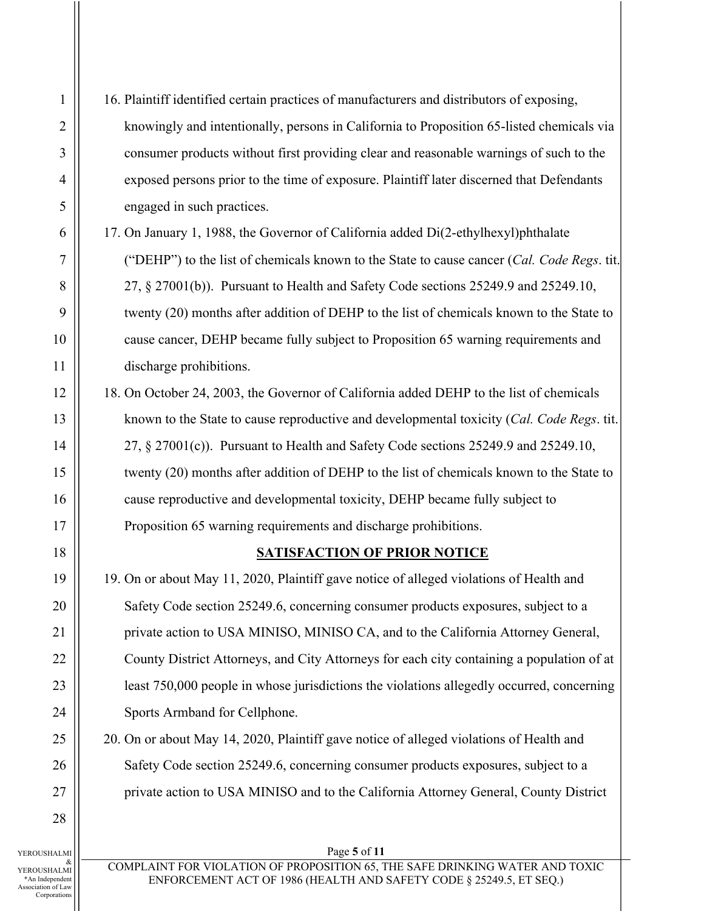16. Plaintiff identified certain practices of manufacturers and distributors of exposing, knowingly and intentionally, persons in California to Proposition 65-listed chemicals via consumer products without first providing clear and reasonable warnings of such to the exposed persons prior to the time of exposure. Plaintiff later discerned that Defendants engaged in such practices.

17. On January 1, 1988, the Governor of California added Di(2-ethylhexyl)phthalate ("DEHP") to the list of chemicals known to the State to cause cancer (*Cal. Code Regs*. tit. 27, § 27001(b)). Pursuant to Health and Safety Code sections 25249.9 and 25249.10, twenty (20) months after addition of DEHP to the list of chemicals known to the State to cause cancer, DEHP became fully subject to Proposition 65 warning requirements and discharge prohibitions.

18. On October 24, 2003, the Governor of California added DEHP to the list of chemicals known to the State to cause reproductive and developmental toxicity (*Cal. Code Regs*. tit. 27, § 27001(c)). Pursuant to Health and Safety Code sections 25249.9 and 25249.10, twenty (20) months after addition of DEHP to the list of chemicals known to the State to cause reproductive and developmental toxicity, DEHP became fully subject to Proposition 65 warning requirements and discharge prohibitions.

# **SATISFACTION OF PRIOR NOTICE**

19. On or about May 11, 2020, Plaintiff gave notice of alleged violations of Health and Safety Code section 25249.6, concerning consumer products exposures, subject to a private action to USA MINISO, MINISO CA, and to the California Attorney General, County District Attorneys, and City Attorneys for each city containing a population of at least 750,000 people in whose jurisdictions the violations allegedly occurred, concerning Sports Armband for Cellphone.

20. On or about May 14, 2020, Plaintiff gave notice of alleged violations of Health and Safety Code section 25249.6, concerning consumer products exposures, subject to a private action to USA MINISO and to the California Attorney General, County District

YEROUSHALMI & YEROUSHALMI \*An Independent Association of Law Corporations

#### Page **5** of **11**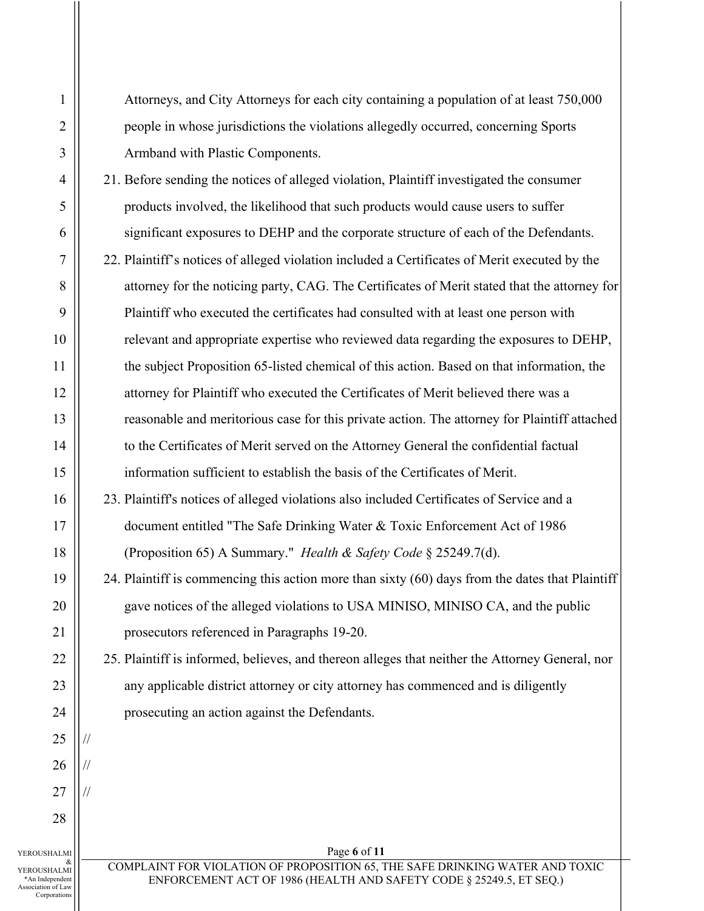Corporations

//

//

//

Attorneys, and City Attorneys for each city containing a population of at least 750,000 people in whose jurisdictions the violations allegedly occurred, concerning Sports Armband with Plastic Components.

21. Before sending the notices of alleged violation, Plaintiff investigated the consumer products involved, the likelihood that such products would cause users to suffer significant exposures to DEHP and the corporate structure of each of the Defendants.

- 22. Plaintiff's notices of alleged violation included a Certificates of Merit executed by the attorney for the noticing party, CAG. The Certificates of Merit stated that the attorney for Plaintiff who executed the certificates had consulted with at least one person with relevant and appropriate expertise who reviewed data regarding the exposures to DEHP, the subject Proposition 65-listed chemical of this action. Based on that information, the attorney for Plaintiff who executed the Certificates of Merit believed there was a reasonable and meritorious case for this private action. The attorney for Plaintiff attached to the Certificates of Merit served on the Attorney General the confidential factual information sufficient to establish the basis of the Certificates of Merit.
- 23. Plaintiff's notices of alleged violations also included Certificates of Service and a document entitled "The Safe Drinking Water & Toxic Enforcement Act of 1986 (Proposition 65) A Summary." *Health & Safety Code* § 25249.7(d).
- 24. Plaintiff is commencing this action more than sixty (60) days from the dates that Plaintiff gave notices of the alleged violations to USA MINISO, MINISO CA, and the public prosecutors referenced in Paragraphs 19-20.

25. Plaintiff is informed, believes, and thereon alleges that neither the Attorney General, nor any applicable district attorney or city attorney has commenced and is diligently prosecuting an action against the Defendants.

Page **6** of **11**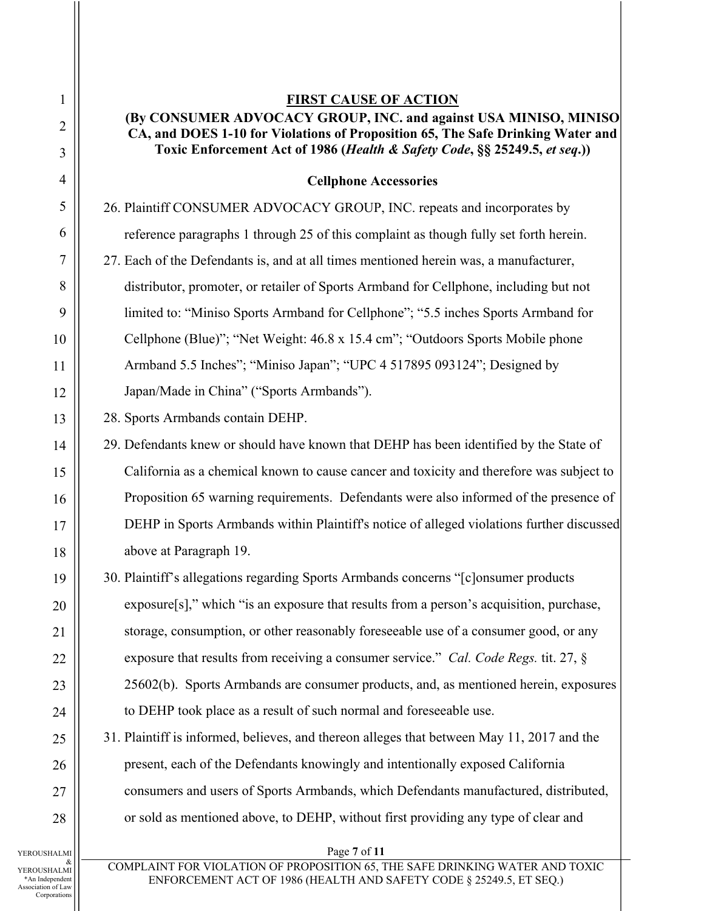# **FIRST CAUSE OF ACTION (By CONSUMER ADVOCACY GROUP, INC. and against USA MINISO, MINISO CA, and DOES 1-10 for Violations of Proposition 65, The Safe Drinking Water and Toxic Enforcement Act of 1986 (***Health & Safety Code***, §§ 25249.5,** *et seq***.))**

# **Cellphone Accessories**

26. Plaintiff CONSUMER ADVOCACY GROUP, INC. repeats and incorporates by reference paragraphs 1 through 25 of this complaint as though fully set forth herein. 27. Each of the Defendants is, and at all times mentioned herein was, a manufacturer, distributor, promoter, or retailer of Sports Armband for Cellphone, including but not limited to: "Miniso Sports Armband for Cellphone"; "5.5 inches Sports Armband for Cellphone (Blue)"; "Net Weight: 46.8 x 15.4 cm"; "Outdoors Sports Mobile phone Armband 5.5 Inches"; "Miniso Japan"; "UPC 4 517895 093124"; Designed by Japan/Made in China" ("Sports Armbands").

28. Sports Armbands contain DEHP.

29. Defendants knew or should have known that DEHP has been identified by the State of California as a chemical known to cause cancer and toxicity and therefore was subject to Proposition 65 warning requirements. Defendants were also informed of the presence of DEHP in Sports Armbands within Plaintiff's notice of alleged violations further discussed above at Paragraph 19.

30. Plaintiff's allegations regarding Sports Armbands concerns "[c]onsumer products exposure[s]," which "is an exposure that results from a person's acquisition, purchase, storage, consumption, or other reasonably foreseeable use of a consumer good, or any exposure that results from receiving a consumer service." *Cal. Code Regs.* tit. 27, § 25602(b). Sports Armbands are consumer products, and, as mentioned herein, exposures to DEHP took place as a result of such normal and foreseeable use.

31. Plaintiff is informed, believes, and thereon alleges that between May 11, 2017 and the present, each of the Defendants knowingly and intentionally exposed California consumers and users of Sports Armbands, which Defendants manufactured, distributed, or sold as mentioned above, to DEHP, without first providing any type of clear and

Page **7** of **11**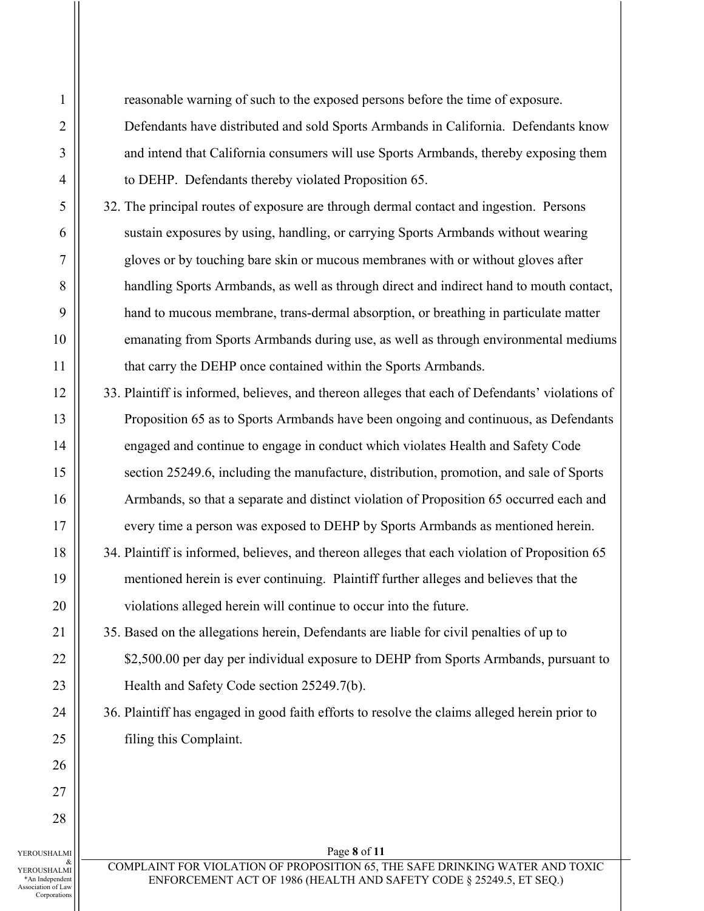reasonable warning of such to the exposed persons before the time of exposure. Defendants have distributed and sold Sports Armbands in California. Defendants know and intend that California consumers will use Sports Armbands, thereby exposing them to DEHP. Defendants thereby violated Proposition 65.

- 32. The principal routes of exposure are through dermal contact and ingestion. Persons sustain exposures by using, handling, or carrying Sports Armbands without wearing gloves or by touching bare skin or mucous membranes with or without gloves after handling Sports Armbands, as well as through direct and indirect hand to mouth contact, hand to mucous membrane, trans-dermal absorption, or breathing in particulate matter emanating from Sports Armbands during use, as well as through environmental mediums that carry the DEHP once contained within the Sports Armbands.
- 33. Plaintiff is informed, believes, and thereon alleges that each of Defendants' violations of Proposition 65 as to Sports Armbands have been ongoing and continuous, as Defendants engaged and continue to engage in conduct which violates Health and Safety Code section 25249.6, including the manufacture, distribution, promotion, and sale of Sports Armbands, so that a separate and distinct violation of Proposition 65 occurred each and every time a person was exposed to DEHP by Sports Armbands as mentioned herein.
- 34. Plaintiff is informed, believes, and thereon alleges that each violation of Proposition 65 mentioned herein is ever continuing. Plaintiff further alleges and believes that the violations alleged herein will continue to occur into the future.
	- 35. Based on the allegations herein, Defendants are liable for civil penalties of up to \$2,500.00 per day per individual exposure to DEHP from Sports Armbands, pursuant to Health and Safety Code section 25249.7(b).
- 36. Plaintiff has engaged in good faith efforts to resolve the claims alleged herein prior to filing this Complaint.

YEROUSHALMI & YEROUSHALMI \*An Independent Association of Law Corporations

1

2

3

4

5

6

7

8

9

10

11

12

13

14

15

16

17

18

19

20

21

22

23

24

25

26

27

28

COMPLAINT FOR VIOLATION OF PROPOSITION 65, THE SAFE DRINKING WATER AND TOXIC ENFORCEMENT ACT OF 1986 (HEALTH AND SAFETY CODE § 25249.5, ET SEQ.)

Page **8** of **11**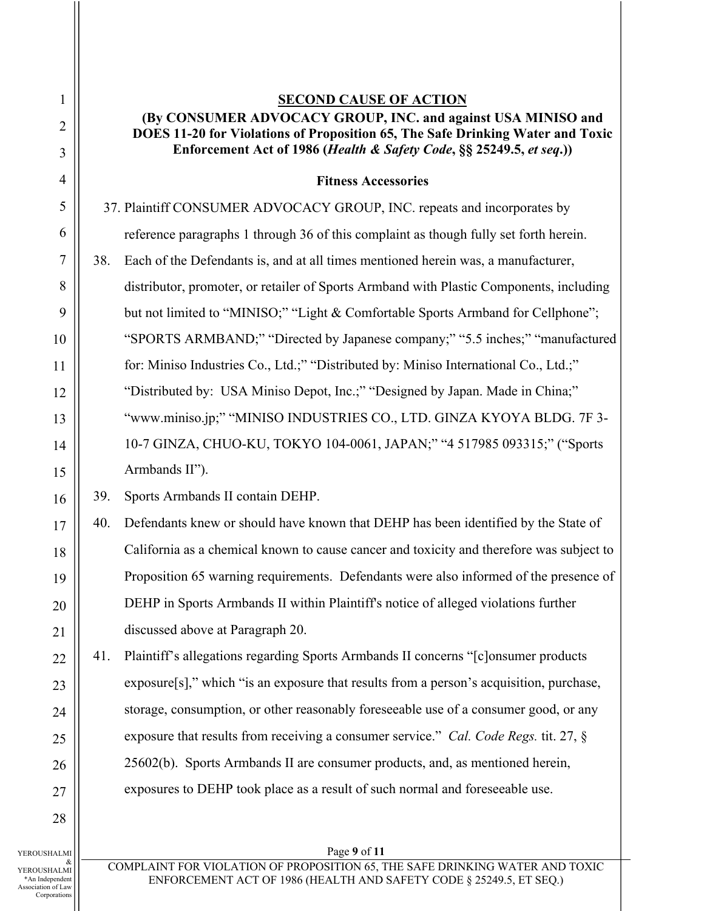1 2 3 4 5 6 7 8 9 10 11 12 13 14 15 16 17 18 19 20 21 22 23 24 25 26 27 28 **SECOND CAUSE OF ACTION (By CONSUMER ADVOCACY GROUP, INC. and against USA MINISO and DOES 11-20 for Violations of Proposition 65, The Safe Drinking Water and Toxic Enforcement Act of 1986 (***Health & Safety Code***, §§ 25249.5,** *et seq***.)) Fitness Accessories** 37. Plaintiff CONSUMER ADVOCACY GROUP, INC. repeats and incorporates by reference paragraphs 1 through 36 of this complaint as though fully set forth herein. 38. Each of the Defendants is, and at all times mentioned herein was, a manufacturer, distributor, promoter, or retailer of Sports Armband with Plastic Components, including but not limited to "MINISO;" "Light & Comfortable Sports Armband for Cellphone"; "SPORTS ARMBAND;" "Directed by Japanese company;" "5.5 inches;" "manufactured for: Miniso Industries Co., Ltd.;" "Distributed by: Miniso International Co., Ltd.;" "Distributed by: USA Miniso Depot, Inc.;" "Designed by Japan. Made in China;" "www.miniso.jp;" "MINISO INDUSTRIES CO., LTD. GINZA KYOYA BLDG. 7F 3- 10-7 GINZA, CHUO-KU, TOKYO 104-0061, JAPAN;" "4 517985 093315;" ("Sports Armbands II"). 39. Sports Armbands II contain DEHP. 40. Defendants knew or should have known that DEHP has been identified by the State of California as a chemical known to cause cancer and toxicity and therefore was subject to Proposition 65 warning requirements. Defendants were also informed of the presence of DEHP in Sports Armbands II within Plaintiff's notice of alleged violations further discussed above at Paragraph 20. 41. Plaintiff's allegations regarding Sports Armbands II concerns "[c]onsumer products exposure[s]," which "is an exposure that results from a person's acquisition, purchase, storage, consumption, or other reasonably foreseeable use of a consumer good, or any exposure that results from receiving a consumer service." *Cal. Code Regs.* tit. 27, § 25602(b). Sports Armbands II are consumer products, and, as mentioned herein, exposures to DEHP took place as a result of such normal and foreseeable use.

YEROUSHALMI & YEROUSHALMI \*An Independent Association of Law Corporations

# Page **9** of **11**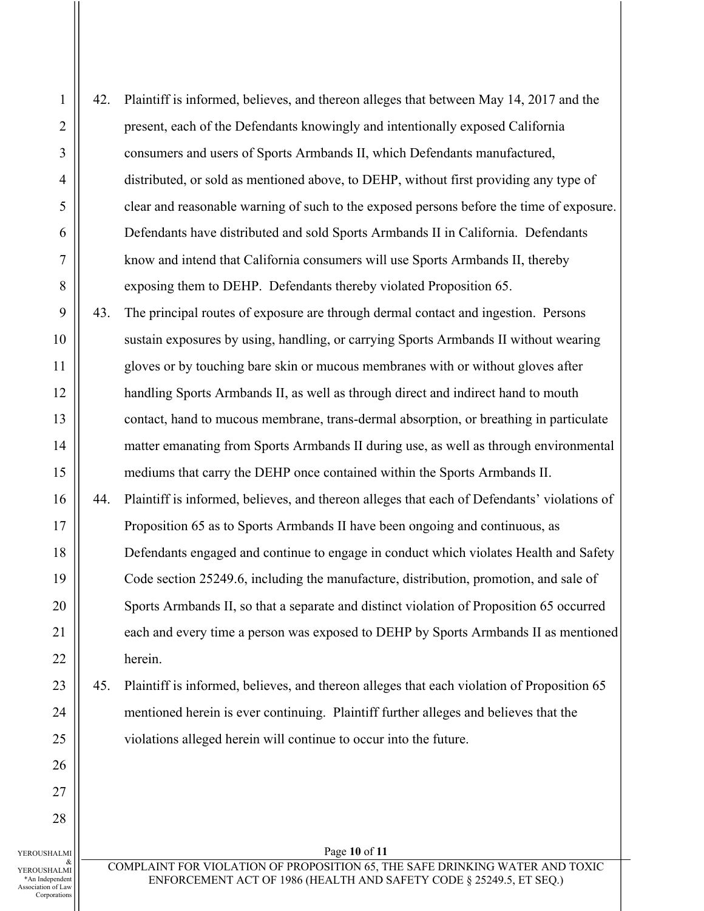1 2 3 4 5 6 7 8 9 42. Plaintiff is informed, believes, and thereon alleges that between May 14, 2017 and the present, each of the Defendants knowingly and intentionally exposed California consumers and users of Sports Armbands II, which Defendants manufactured, distributed, or sold as mentioned above, to DEHP, without first providing any type of clear and reasonable warning of such to the exposed persons before the time of exposure. Defendants have distributed and sold Sports Armbands II in California. Defendants know and intend that California consumers will use Sports Armbands II, thereby exposing them to DEHP. Defendants thereby violated Proposition 65. 43. The principal routes of exposure are through dermal contact and ingestion. Persons sustain exposures by using, handling, or carrying Sports Armbands II without wearing gloves or by touching bare skin or mucous membranes with or without gloves after handling Sports Armbands II, as well as through direct and indirect hand to mouth contact, hand to mucous membrane, trans-dermal absorption, or breathing in particulate matter emanating from Sports Armbands II during use, as well as through environmental mediums that carry the DEHP once contained within the Sports Armbands II. 44. Plaintiff is informed, believes, and thereon alleges that each of Defendants' violations of Proposition 65 as to Sports Armbands II have been ongoing and continuous, as Defendants engaged and continue to engage in conduct which violates Health and Safety Code section 25249.6, including the manufacture, distribution, promotion, and sale of Sports Armbands II, so that a separate and distinct violation of Proposition 65 occurred each and every time a person was exposed to DEHP by Sports Armbands II as mentioned herein. 45. Plaintiff is informed, believes, and thereon alleges that each violation of Proposition 65 mentioned herein is ever continuing. Plaintiff further alleges and believes that the violations alleged herein will continue to occur into the future.

& YEROUSHALMI \*An Independent Association of Law Corporations

Page **10** of **11**